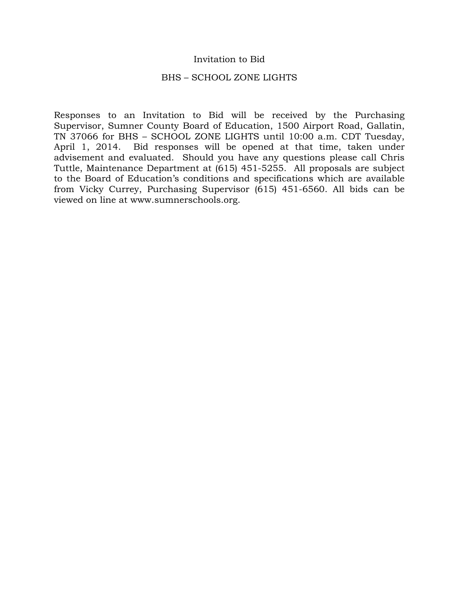#### Invitation to Bid

#### BHS – SCHOOL ZONE LIGHTS

Responses to an Invitation to Bid will be received by the Purchasing Supervisor, Sumner County Board of Education, 1500 Airport Road, Gallatin, TN 37066 for BHS – SCHOOL ZONE LIGHTS until 10:00 a.m. CDT Tuesday, April 1, 2014. Bid responses will be opened at that time, taken under advisement and evaluated. Should you have any questions please call Chris Tuttle, Maintenance Department at (615) 451-5255. All proposals are subject to the Board of Education's conditions and specifications which are available from Vicky Currey, Purchasing Supervisor (615) 451-6560. All bids can be viewed on line at www.sumnerschools.org.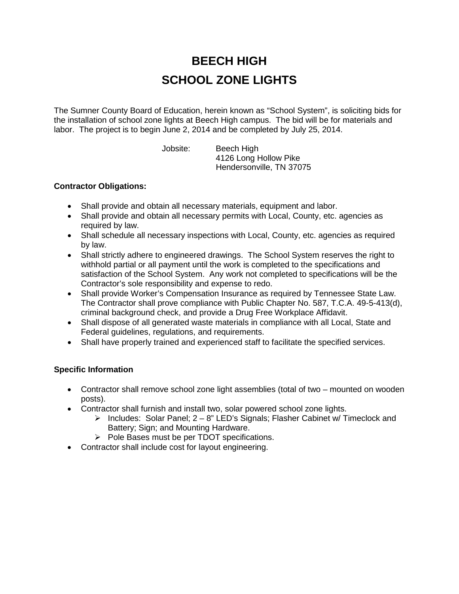# **BEECH HIGH SCHOOL ZONE LIGHTS**

The Sumner County Board of Education, herein known as "School System", is soliciting bids for the installation of school zone lights at Beech High campus. The bid will be for materials and labor. The project is to begin June 2, 2014 and be completed by July 25, 2014.

Jobsite: Beech High 4126 Long Hollow Pike Hendersonville, TN 37075

### **Contractor Obligations:**

- Shall provide and obtain all necessary materials, equipment and labor.
- Shall provide and obtain all necessary permits with Local, County, etc. agencies as required by law.
- Shall schedule all necessary inspections with Local, County, etc. agencies as required by law.
- Shall strictly adhere to engineered drawings. The School System reserves the right to withhold partial or all payment until the work is completed to the specifications and satisfaction of the School System. Any work not completed to specifications will be the Contractor's sole responsibility and expense to redo.
- Shall provide Worker's Compensation Insurance as required by Tennessee State Law. The Contractor shall prove compliance with Public Chapter No. 587, T.C.A. 49-5-413(d), criminal background check, and provide a Drug Free Workplace Affidavit.
- Shall dispose of all generated waste materials in compliance with all Local, State and Federal guidelines, regulations, and requirements.
- Shall have properly trained and experienced staff to facilitate the specified services.

### **Specific Information**

- Contractor shall remove school zone light assemblies (total of two mounted on wooden posts).
- Contractor shall furnish and install two, solar powered school zone lights.
	- Includes: Solar Panel;  $2 8$ " LED's Signals; Flasher Cabinet w/ Timeclock and Battery; Sign; and Mounting Hardware.
	- $\triangleright$  Pole Bases must be per TDOT specifications.
- Contractor shall include cost for layout engineering.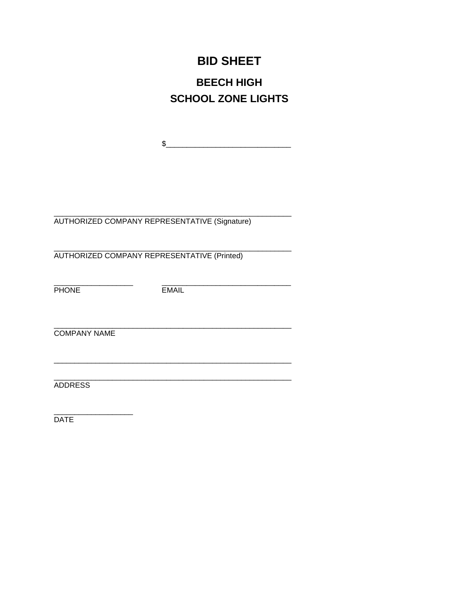## **BID SHEET**

## **BEECH HIGH SCHOOL ZONE LIGHTS**

 $\begin{picture}(20,10) \put(0,0){\vector(1,0){100}} \put(15,0){\vector(1,0){100}} \put(15,0){\vector(1,0){100}} \put(15,0){\vector(1,0){100}} \put(15,0){\vector(1,0){100}} \put(15,0){\vector(1,0){100}} \put(15,0){\vector(1,0){100}} \put(15,0){\vector(1,0){100}} \put(15,0){\vector(1,0){100}} \put(15,0){\vector(1,0){100}} \put(15,0){\vector(1,0){100}} \$ 

AUTHORIZED COMPANY REPRESENTATIVE (Signature)

AUTHORIZED COMPANY REPRESENTATIVE (Printed)

**PHONE** 

**EMAIL** 

**COMPANY NAME** 

ADDRESS

DATE